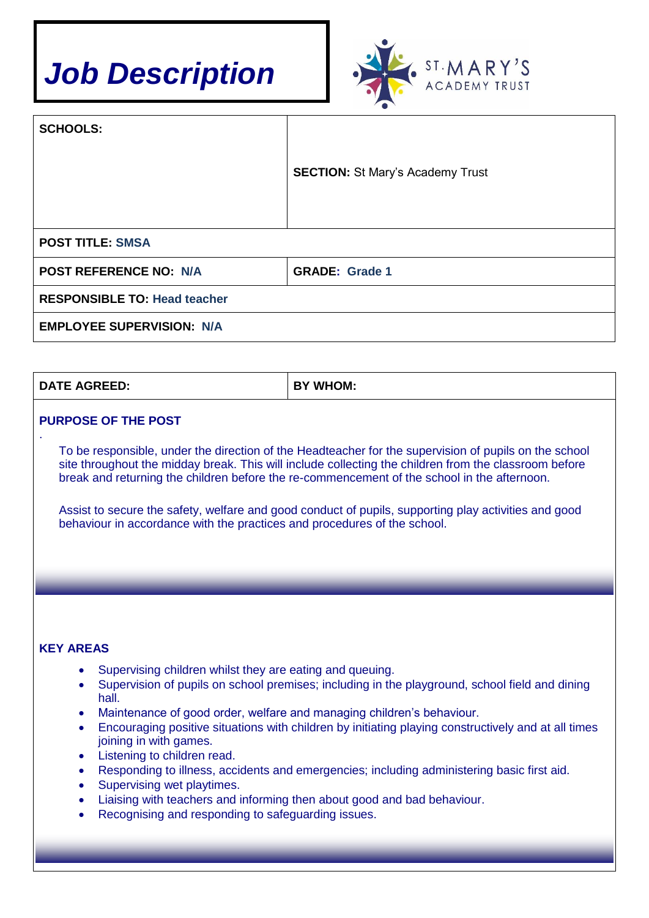



| <b>SCHOOLS:</b>                     |                                         |  |
|-------------------------------------|-----------------------------------------|--|
|                                     | <b>SECTION: St Mary's Academy Trust</b> |  |
|                                     |                                         |  |
| <b>POST TITLE: SMSA</b>             |                                         |  |
| <b>POST REFERENCE NO: N/A</b>       | <b>GRADE: Grade 1</b>                   |  |
| <b>RESPONSIBLE TO: Head teacher</b> |                                         |  |
| <b>EMPLOYEE SUPERVISION: N/A</b>    |                                         |  |

| <b>DATE AGREED:</b> | <b>WHOM:</b> |
|---------------------|--------------|
|                     |              |

### **PURPOSE OF THE POST**

.

To be responsible, under the direction of the Headteacher for the supervision of pupils on the school site throughout the midday break. This will include collecting the children from the classroom before break and returning the children before the re-commencement of the school in the afternoon.

Assist to secure the safety, welfare and good conduct of pupils, supporting play activities and good behaviour in accordance with the practices and procedures of the school.

#### **KEY AREAS**

- Supervising children whilst they are eating and queuing.
- Supervision of pupils on school premises; including in the playground, school field and dining hall.
- Maintenance of good order, welfare and managing children's behaviour.
- Encouraging positive situations with children by initiating playing constructively and at all times joining in with games.
- Listening to children read.
- Responding to illness, accidents and emergencies; including administering basic first aid.
- Supervising wet playtimes.
- Liaising with teachers and informing then about good and bad behaviour.
- Recognising and responding to safeguarding issues.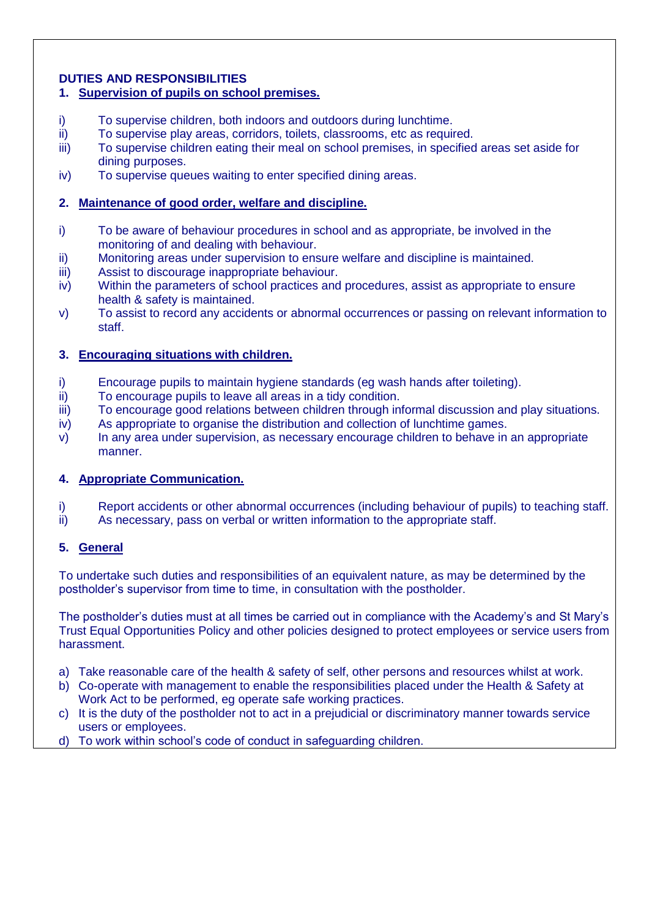## **DUTIES AND RESPONSIBILITIES**

## **1. Supervision of pupils on school premises.**

- i) To supervise children, both indoors and outdoors during lunchtime.
- ii) To supervise play areas, corridors, toilets, classrooms, etc as required.
- iii) To supervise children eating their meal on school premises, in specified areas set aside for dining purposes.
- iv) To supervise queues waiting to enter specified dining areas.

## **2. Maintenance of good order, welfare and discipline.**

- i) To be aware of behaviour procedures in school and as appropriate, be involved in the monitoring of and dealing with behaviour.
- ii) Monitoring areas under supervision to ensure welfare and discipline is maintained.
- iii) Assist to discourage inappropriate behaviour.
- iv) Within the parameters of school practices and procedures, assist as appropriate to ensure health & safety is maintained.
- v) To assist to record any accidents or abnormal occurrences or passing on relevant information to staff.

### **3. Encouraging situations with children.**

- i) Encourage pupils to maintain hygiene standards (eg wash hands after toileting).
- ii) To encourage pupils to leave all areas in a tidy condition.
- iii) To encourage good relations between children through informal discussion and play situations.
- iv) As appropriate to organise the distribution and collection of lunchtime games.
- v) In any area under supervision, as necessary encourage children to behave in an appropriate manner.

### **4. Appropriate Communication.**

- i) Report accidents or other abnormal occurrences (including behaviour of pupils) to teaching staff.
- ii) As necessary, pass on verbal or written information to the appropriate staff.

# **5. General**

To undertake such duties and responsibilities of an equivalent nature, as may be determined by the postholder's supervisor from time to time, in consultation with the postholder.

The postholder's duties must at all times be carried out in compliance with the Academy's and St Mary's Trust Equal Opportunities Policy and other policies designed to protect employees or service users from harassment.

- a) Take reasonable care of the health & safety of self, other persons and resources whilst at work.
- b) Co-operate with management to enable the responsibilities placed under the Health & Safety at Work Act to be performed, eg operate safe working practices.
- c) It is the duty of the postholder not to act in a prejudicial or discriminatory manner towards service users or employees.
- d) To work within school's code of conduct in safeguarding children.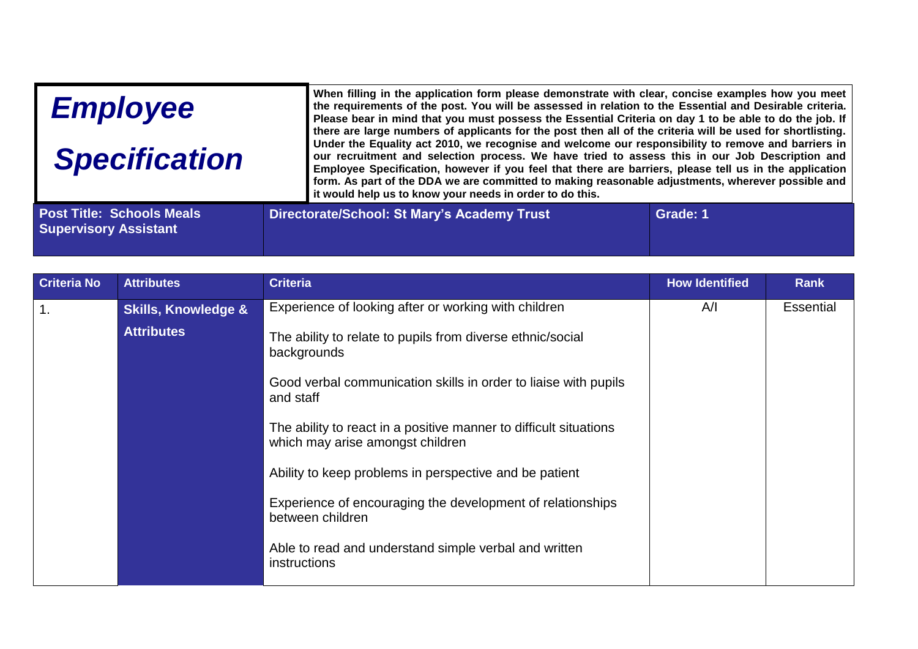| <b>Employee</b><br><b>Specification</b> |  | When filling in the application form please demonstrate with clear, concise examples how you meet<br>the requirements of the post. You will be assessed in relation to the Essential and Desirable criteria.<br>Please bear in mind that you must possess the Essential Criteria on day 1 to be able to do the job. If<br>there are large numbers of applicants for the post then all of the criteria will be used for shortlisting.<br>Under the Equality act 2010, we recognise and welcome our responsibility to remove and barriers in<br>our recruitment and selection process. We have tried to assess this in our Job Description and<br>Employee Specification, however if you feel that there are barriers, please tell us in the application<br>form. As part of the DDA we are committed to making reasonable adjustments, wherever possible and<br>it would help us to know your needs in order to do this. |  |  |
|-----------------------------------------|--|-------------------------------------------------------------------------------------------------------------------------------------------------------------------------------------------------------------------------------------------------------------------------------------------------------------------------------------------------------------------------------------------------------------------------------------------------------------------------------------------------------------------------------------------------------------------------------------------------------------------------------------------------------------------------------------------------------------------------------------------------------------------------------------------------------------------------------------------------------------------------------------------------------------------------|--|--|
|                                         |  |                                                                                                                                                                                                                                                                                                                                                                                                                                                                                                                                                                                                                                                                                                                                                                                                                                                                                                                         |  |  |

| <b>Criteria No</b> | <b>Attributes</b>              | <b>Criteria</b>                                                                                       | <b>How Identified</b> | <b>Rank</b>      |
|--------------------|--------------------------------|-------------------------------------------------------------------------------------------------------|-----------------------|------------------|
| 1.                 | <b>Skills, Knowledge &amp;</b> | Experience of looking after or working with children                                                  | A/I                   | <b>Essential</b> |
|                    | <b>Attributes</b>              | The ability to relate to pupils from diverse ethnic/social<br>backgrounds                             |                       |                  |
|                    |                                | Good verbal communication skills in order to liaise with pupils<br>and staff                          |                       |                  |
|                    |                                | The ability to react in a positive manner to difficult situations<br>which may arise amongst children |                       |                  |
|                    |                                | Ability to keep problems in perspective and be patient                                                |                       |                  |
|                    |                                | Experience of encouraging the development of relationships<br>between children                        |                       |                  |
|                    |                                | Able to read and understand simple verbal and written<br>instructions                                 |                       |                  |